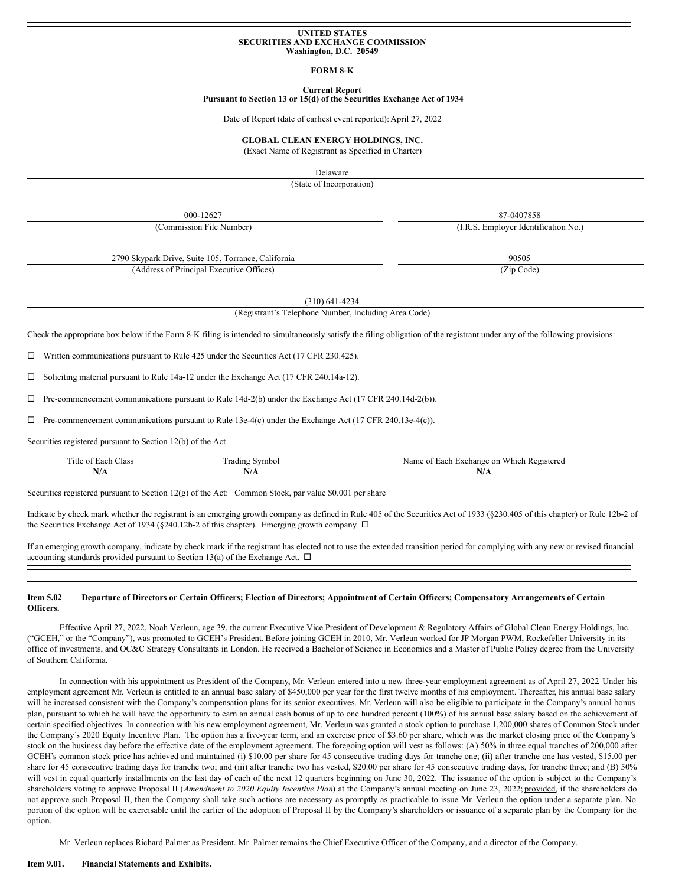# **UNITED STATES SECURITIES AND EXCHANGE COMMISSION Washington, D.C. 20549**

#### **FORM 8‑K**

#### **Current Report Pursuant to Section 13 or 15(d) of the Securities Exchange Act of 1934**

Date of Report (date of earliest event reported): April 27, 2022

#### **GLOBAL CLEAN ENERGY HOLDINGS, INC.**

(Exact Name of Registrant as Specified in Charter)

Delaware

(State of Incorporation)

000-12627 87-0407858

(Commission File Number) (I.R.S. Employer Identification No.)

2790 Skypark Drive, Suite 105, Torrance, California 90505 (Address of Principal Executive Offices) (Zip Code)

(310) 641-4234

(Registrant's Telephone Number, Including Area Code)

Check the appropriate box below if the Form 8‑K filing is intended to simultaneously satisfy the filing obligation of the registrant under any of the following provisions:

 $\Box$  Written communications pursuant to Rule 425 under the Securities Act (17 CFR 230.425).

¨ Soliciting material pursuant to Rule 14a‑12 under the Exchange Act (17 CFR 240.14a‑12).

 $\Box$  Pre-commencement communications pursuant to Rule 14d-2(b) under the Exchange Act (17 CFR 240.14d-2(b)).

 $\Box$  Pre-commencement communications pursuant to Rule 13e-4(c) under the Exchange Act (17 CFR 240.13e-4(c)).

Securities registered pursuant to Section 12(b) of the Act

| . itle<br>Aas:<br>.ach<br>$\Omega$ | ' radın⊊<br>≅vmbo∟<br>. | Registered<br>Namo<br>change<br>۱۵۵۴<br>on<br>Which.<br>20.1 |
|------------------------------------|-------------------------|--------------------------------------------------------------|
| 11/71                              | 11/L                    | IV/A                                                         |
|                                    |                         |                                                              |

Securities registered pursuant to Section 12(g) of the Act: Common Stock, par value \$0.001 per share

Indicate by check mark whether the registrant is an emerging growth company as defined in Rule 405 of the Securities Act of 1933 (§230.405 of this chapter) or Rule 12b-2 of the Securities Exchange Act of 1934 (§240.12b-2 of this chapter). Emerging growth company  $\Box$ 

If an emerging growth company, indicate by check mark if the registrant has elected not to use the extended transition period for complying with any new or revised financial accounting standards provided pursuant to Section 13(a) of the Exchange Act.  $\Box$ 

#### Item 5.02 Departure of Directors or Certain Officers; Election of Directors; Appointment of Certain Officers; Compensatory Arrangements of Certain **Officers.**

Effective April 27, 2022, Noah Verleun, age 39, the current Executive Vice President of Development & Regulatory Affairs of Global Clean Energy Holdings, Inc. ("GCEH," or the "Company"), was promoted to GCEH's President. Before joining GCEH in 2010, Mr. Verleun worked for JP Morgan PWM, Rockefeller University in its office of investments, and OC&C Strategy Consultants in London. He received a Bachelor of Science in Economics and a Master of Public Policy degree from the University of Southern California.

In connection with his appointment as President of the Company, Mr. Verleun entered into a new three-year employment agreement as of April 27, 2022. Under his employment agreement Mr. Verleun is entitled to an annual base salary of \$450,000 per year for the first twelve months of his employment. Thereafter, his annual base salary will be increased consistent with the Company's compensation plans for its senior executives. Mr. Verleun will also be eligible to participate in the Company's annual bonus plan, pursuant to which he will have the opportunity to earn an annual cash bonus of up to one hundred percent (100%) of his annual base salary based on the achievement of certain specified objectives. In connection with his new employment agreement, Mr. Verleun was granted a stock option to purchase 1,200,000 shares of Common Stock under the Company's 2020 Equity Incentive Plan. The option has a five-year term, and an exercise price of \$3.60 per share, which was the market closing price of the Company's stock on the business day before the effective date of the employment agreement. The foregoing option will vest as follows: (A) 50% in three equal tranches of 200,000 after GCEH's common stock price has achieved and maintained (i) \$10.00 per share for 45 consecutive trading days for tranche one; (ii) after tranche one has vested, \$15.00 per share for 45 consecutive trading days for tranche two; and (iii) after tranche two has vested, \$20.00 per share for 45 consecutive trading days, for tranche three; and (B) 50% will vest in equal quarterly installments on the last day of each of the next 12 quarters beginning on June 30, 2022. The issuance of the option is subject to the Company's shareholders voting to approve Proposal II (*Amendment to 2020 Equity Incentive Plan*) at the Company's annual meeting on June 23, 2022; provided, if the shareholders do not approve such Proposal II, then the Company shall take such actions are necessary as promptly as practicable to issue Mr. Verleun the option under a separate plan. No portion of the option will be exercisable until the earlier of the adoption of Proposal II by the Company's shareholders or issuance of a separate plan by the Company for the option.

Mr. Verleun replaces Richard Palmer as President. Mr. Palmer remains the Chief Executive Officer of the Company, and a director of the Company.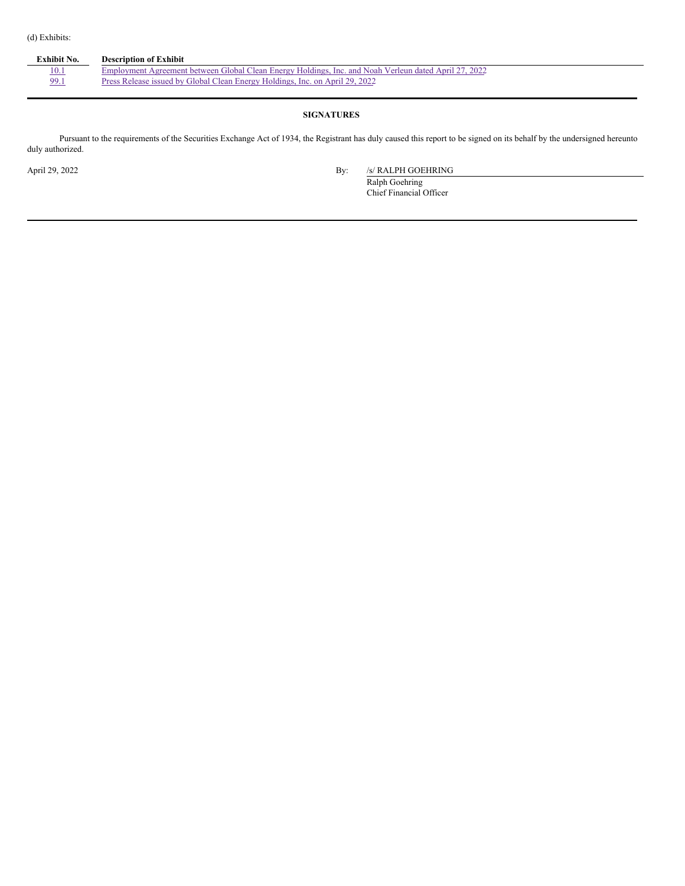| Exhibit No. | <b>Description of Exhibit</b>                                                                         |
|-------------|-------------------------------------------------------------------------------------------------------|
| 10.1        | Employment Agreement between Global Clean Energy Holdings, Inc. and Noah Verleun dated April 27, 2022 |
| 99.1        | Press Release issued by Global Clean Energy Holdings, Inc. on April 29, 2022                          |
|             |                                                                                                       |

## **SIGNATURES**

Pursuant to the requirements of the Securities Exchange Act of 1934, the Registrant has duly caused this report to be signed on its behalf by the undersigned hereunto duly authorized.

April 29, 2022 By: /s/ RALPH GOEHRING

Ralph Goehring Chief Financial Officer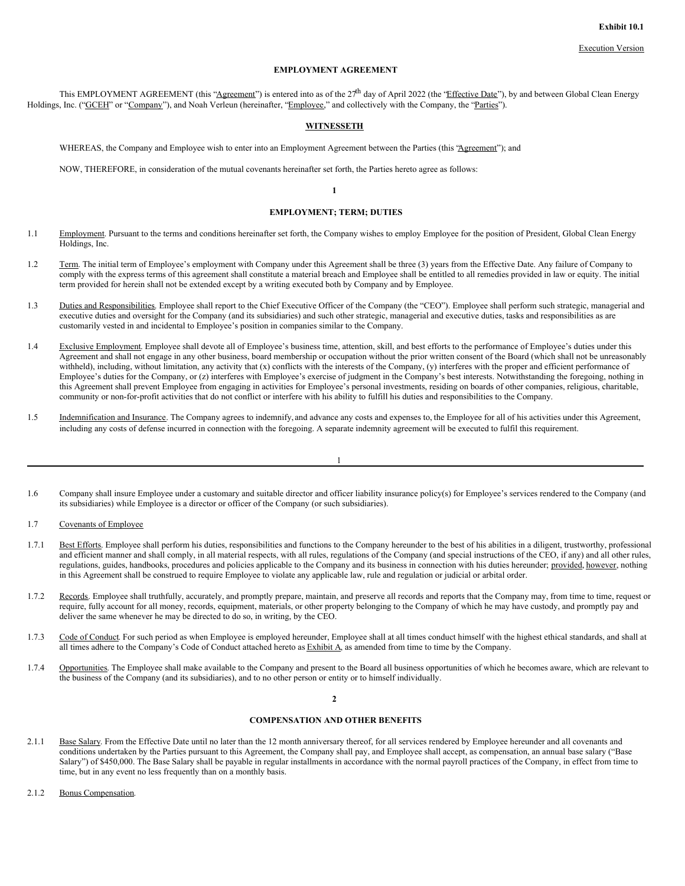## **EMPLOYMENT AGREEMENT**

This EMPLOYMENT AGREEMENT (this "Agreement") is entered into as of the 27<sup>th</sup> day of April 2022 (the "Effective Date"), by and between Global Clean Energy Holdings, Inc. ("GCEH" or "Company"), and Noah Verleun (hereinafter, "Employee," and collectively with the Company, the "Parties").

#### **WITNESSETH**

WHEREAS, the Company and Employee wish to enter into an Employment Agreement between the Parties (this 'Agreement'); and

NOW, THEREFORE, in consideration of the mutual covenants hereinafter set forth, the Parties hereto agree as follows:

## **1**

## **EMPLOYMENT; TERM; DUTIES**

- 1.1 Employment. Pursuant to the terms and conditions hereinafter set forth, the Company wishes to employ Employee for the position of President, Global Clean Energy Holdings, Inc.
- 1.2 Term. The initial term of Employee's employment with Company under this Agreement shall be three (3) years from the Effective Date. Any failure of Company to comply with the express terms of this agreement shall constitute a material breach and Employee shall be entitled to all remedies provided in law or equity. The initial term provided for herein shall not be extended except by a writing executed both by Company and by Employee.
- 1.3 Duties and Responsibilities. Employee shall report to the Chief Executive Officer of the Company (the "CEO"). Employee shall perform such strategic, managerial and executive duties and oversight for the Company (and its subsidiaries) and such other strategic, managerial and executive duties, tasks and responsibilities as are customarily vested in and incidental to Employee's position in companies similar to the Company.
- 1.4 Exclusive Employment. Employee shall devote all of Employee's business time, attention, skill, and best efforts to the performance of Employee's duties under this Agreement and shall not engage in any other business, board membership or occupation without the prior written consent of the Board (which shall not be unreasonably withheld), including, without limitation, any activity that  $(x)$  conflicts with the interests of the Company,  $(y)$  interferes with the proper and efficient performance of Employee's duties for the Company, or (z) interferes with Employee's exercise of judgment in the Company's best interests. Notwithstanding the foregoing, nothing in this Agreement shall prevent Employee from engaging in activities for Employee's personal investments, residing on boards of other companies, religious, charitable, community or non-for-profit activities that do not conflict or interfere with his ability to fulfill his duties and responsibilities to the Company.
- 1.5 Indemnification and Insurance. The Company agrees to indemnify, and advance any costs and expenses to, the Employee for all of his activities under this Agreement, including any costs of defense incurred in connection with the foregoing. A separate indemnity agreement will be executed to fulfil this requirement.

- 1.6 Company shall insure Employee under a customary and suitable director and officer liability insurance policy(s) for Employee's services rendered to the Company (and its subsidiaries) while Employee is a director or officer of the Company (or such subsidiaries).
- 1.7 Covenants of Employee
- 1.7.1 Best Efforts. Employee shall perform his duties, responsibilities and functions to the Company hereunder to the best of his abilities in a diligent, trustworthy, professional and efficient manner and shall comply, in all material respects, with all rules, regulations of the Company (and special instructions of the CEO, if any) and all other rules, regulations, guides, handbooks, procedures and policies applicable to the Company and its business in connection with his duties hereunder; provided, however, nothing in this Agreement shall be construed to require Employee to violate any applicable law, rule and regulation or judicial or arbital order.
- 1.7.2 Records. Employee shall truthfully, accurately, and promptly prepare, maintain, and preserve all records and reports that the Company may, from time to time, request or require, fully account for all money, records, equipment, materials, or other property belonging to the Company of which he may have custody, and promptly pay and deliver the same whenever he may be directed to do so, in writing, by the CEO.
- 1.7.3 Code of Conduct. For such period as when Employee is employed hereunder, Employee shall at all times conduct himself with the highest ethical standards, and shall at all times adhere to the Company's Code of Conduct attached hereto as **Exhibit A**, as amended from time to time by the Company.
- 1.7.4 Opportunities. The Employee shall make available to the Company and present to the Board all business opportunities of which he becomes aware, which are relevant to the business of the Company (and its subsidiaries), and to no other person or entity or to himself individually.

**2**

## **COMPENSATION AND OTHER BENEFITS**

- 2.1.1 Base Salary. From the Effective Date until no later than the 12 month anniversary thereof, for all services rendered by Employee hereunder and all covenants and conditions undertaken by the Parties pursuant to this Agreement, the Company shall pay, and Employee shall accept, as compensation, an annual base salary ("Base Salary") of \$450,000. The Base Salary shall be payable in regular installments in accordance with the normal payroll practices of the Company, in effect from time to time, but in any event no less frequently than on a monthly basis.
- 2.1.2 Bonus Compensation.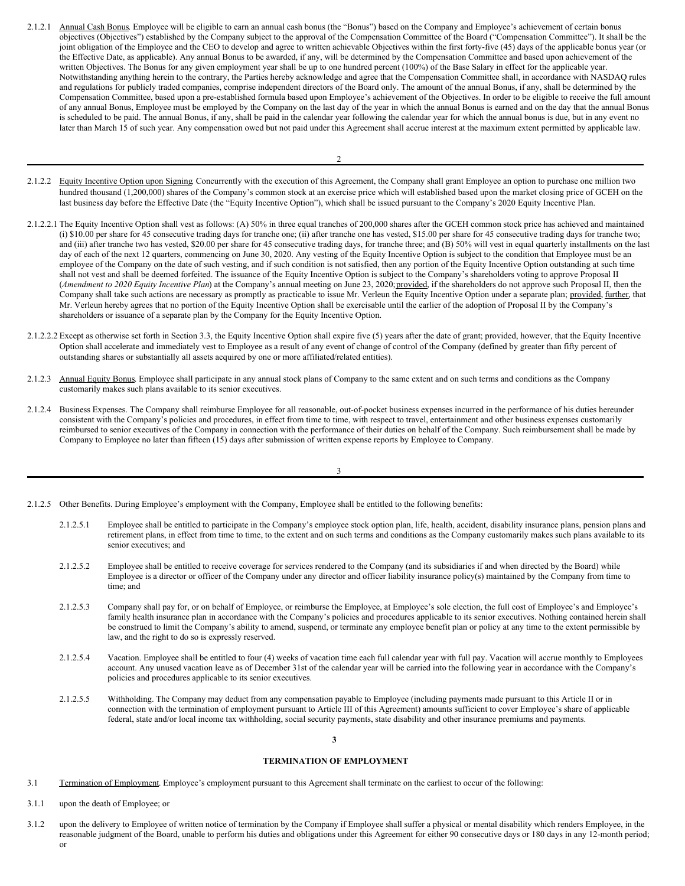2.1.2.1 Annual Cash Bonus. Employee will be eligible to earn an annual cash bonus (the "Bonus") based on the Company and Employee's achievement of certain bonus objectives (Objectives") established by the Company subject to the approval of the Compensation Committee of the Board ("Compensation Committee"). It shall be the joint obligation of the Employee and the CEO to develop and agree to written achievable Objectives within the first forty-five (45) days of the applicable bonus year (or the Effective Date, as applicable). Any annual Bonus to be awarded, if any, will be determined by the Compensation Committee and based upon achievement of the written Objectives. The Bonus for any given employment year shall be up to one hundred percent (100%) of the Base Salary in effect for the applicable year. Notwithstanding anything herein to the contrary, the Parties hereby acknowledge and agree that the Compensation Committee shall, in accordance with NASDAQ rules and regulations for publicly traded companies, comprise independent directors of the Board only. The amount of the annual Bonus, if any, shall be determined by the Compensation Committee, based upon a pre-established formula based upon Employee's achievement of the Objectives. In order to be eligible to receive the full amount of any annual Bonus, Employee must be employed by the Company on the last day of the year in which the annual Bonus is earned and on the day that the annual Bonus is scheduled to be paid. The annual Bonus, if any, shall be paid in the calendar year following the calendar year for which the annual bonus is due, but in any event no later than March 15 of such year. Any compensation owed but not paid under this Agreement shall accrue interest at the maximum extent permitted by applicable law.

- 2.1.2.2 Equity Incentive Option upon Signing. Concurrently with the execution of this Agreement, the Company shall grant Employee an option to purchase one million two hundred thousand (1,200,000) shares of the Company's common stock at an exercise price which will established based upon the market closing price of GCEH on the last business day before the Effective Date (the "Equity Incentive Option"), which shall be issued pursuant to the Company's 2020 Equity Incentive Plan.
- 2.1.2.2.1 The Equity Incentive Option shall vest as follows: (A) 50% in three equal tranches of 200,000 shares after the GCEH common stock price has achieved and maintained (i) \$10.00 per share for 45 consecutive trading days for tranche one; (ii) after tranche one has vested, \$15.00 per share for 45 consecutive trading days for tranche two; and (iii) after tranche two has vested, \$20.00 per share for 45 consecutive trading days, for tranche three; and (B) 50% will vest in equal quarterly installments on the last day of each of the next 12 quarters, commencing on June 30, 2020. Any vesting of the Equity Incentive Option is subject to the condition that Employee must be an employee of the Company on the date of such vesting, and if such condition is not satisfied, then any portion of the Equity Incentive Option outstanding at such time shall not vest and shall be deemed forfeited. The issuance of the Equity Incentive Option is subject to the Company's shareholders voting to approve Proposal II (*Amendment to 2020 Equity Incentive Plan*) at the Company's annual meeting on June 23, 2020;provided, if the shareholders do not approve such Proposal II, then the Company shall take such actions are necessary as promptly as practicable to issue Mr. Verleun the Equity Incentive Option under a separate plan; provided, further, that Mr. Verleun hereby agrees that no portion of the Equity Incentive Option shall be exercisable until the earlier of the adoption of Proposal II by the Company's shareholders or issuance of a separate plan by the Company for the Equity Incentive Option.
- 2.1.2.2.2 Except as otherwise set forth in Section 3.3, the Equity Incentive Option shall expire five (5) years after the date of grant; provided, however, that the Equity Incentive Option shall accelerate and immediately vest to Employee as a result of any event of change of control of the Company (defined by greater than fifty percent of outstanding shares or substantially all assets acquired by one or more affiliated/related entities).
- 2.1.2.3 Annual Equity Bonus. Employee shall participate in any annual stock plans of Company to the same extent and on such terms and conditions as the Company customarily makes such plans available to its senior executives.
- 2.1.2.4 Business Expenses. The Company shall reimburse Employee for all reasonable, out-of-pocket business expenses incurred in the performance of his duties hereunder consistent with the Company's policies and procedures, in effect from time to time, with respect to travel, entertainment and other business expenses customarily reimbursed to senior executives of the Company in connection with the performance of their duties on behalf of the Company. Such reimbursement shall be made by Company to Employee no later than fifteen (15) days after submission of written expense reports by Employee to Company.

- 2.1.2.5 Other Benefits. During Employee's employment with the Company, Employee shall be entitled to the following benefits:
	- 2.1.2.5.1 Employee shall be entitled to participate in the Company's employee stock option plan, life, health, accident, disability insurance plans, pension plans and retirement plans, in effect from time to time, to the extent and on such terms and conditions as the Company customarily makes such plans available to its senior executives; and
	- 2.1.2.5.2 Employee shall be entitled to receive coverage for services rendered to the Company (and its subsidiaries if and when directed by the Board) while Employee is a director or officer of the Company under any director and officer liability insurance policy(s) maintained by the Company from time to time; and
	- 2.1.2.5.3 Company shall pay for, or on behalf of Employee, or reimburse the Employee, at Employee's sole election, the full cost of Employee's and Employee's family health insurance plan in accordance with the Company's policies and procedures applicable to its senior executives. Nothing contained herein shall be construed to limit the Company's ability to amend, suspend, or terminate any employee benefit plan or policy at any time to the extent permissible by law, and the right to do so is expressly reserved.
	- 2.1.2.5.4 Vacation. Employee shall be entitled to four (4) weeks of vacation time each full calendar year with full pay. Vacation will accrue monthly to Employees account. Any unused vacation leave as of December 31st of the calendar year will be carried into the following year in accordance with the Company's policies and procedures applicable to its senior executives.
	- 2.1.2.5.5 Withholding. The Company may deduct from any compensation payable to Employee (including payments made pursuant to this Article II or in connection with the termination of employment pursuant to Article III of this Agreement) amounts sufficient to cover Employee's share of applicable federal, state and/or local income tax withholding, social security payments, state disability and other insurance premiums and payments.

## **3**

## **TERMINATION OF EMPLOYMENT**

- 3.1 Termination of Employment. Employee's employment pursuant to this Agreement shall terminate on the earliest to occur of the following:
- 3.1.1 upon the death of Employee; or
- 3.1.2 upon the delivery to Employee of written notice of termination by the Company if Employee shall suffer a physical or mental disability which renders Employee, in the reasonable judgment of the Board, unable to perform his duties and obligations under this Agreement for either 90 consecutive days or 180 days in any 12-month period; or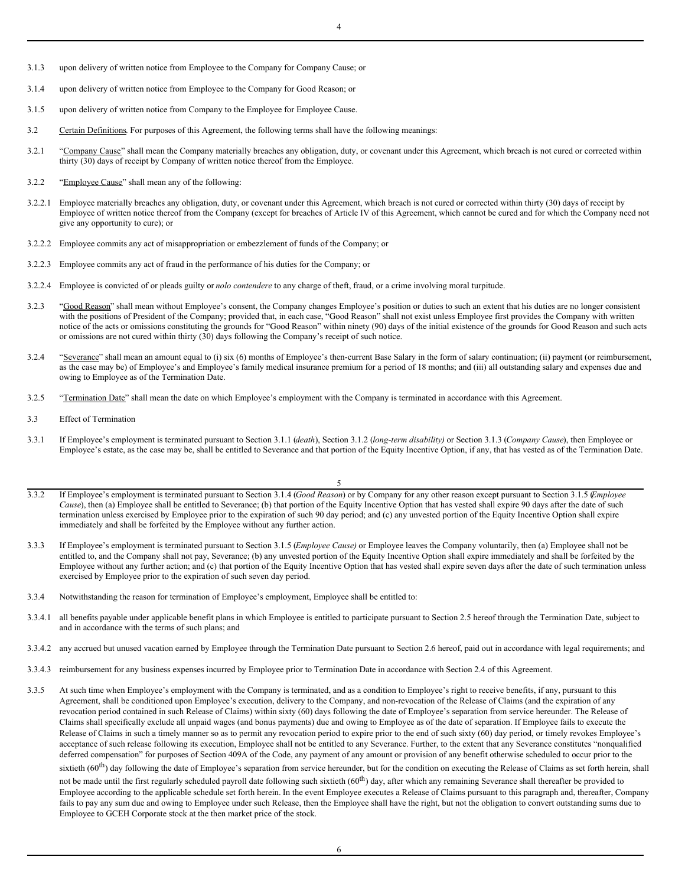- 3.1.3 upon delivery of written notice from Employee to the Company for Company Cause; or
- 3.1.4 upon delivery of written notice from Employee to the Company for Good Reason; or
- 3.1.5 upon delivery of written notice from Company to the Employee for Employee Cause.
- 3.2 Certain Definitions. For purposes of this Agreement, the following terms shall have the following meanings:
- 3.2.1 "Company Cause" shall mean the Company materially breaches any obligation, duty, or covenant under this Agreement, which breach is not cured or corrected within thirty (30) days of receipt by Company of written notice thereof from the Employee.
- 3.2.2 "Employee Cause" shall mean any of the following:
- 3.2.2.1 Employee materially breaches any obligation, duty, or covenant under this Agreement, which breach is not cured or corrected within thirty (30) days of receipt by Employee of written notice thereof from the Company (except for breaches of Article IV of this Agreement, which cannot be cured and for which the Company need not give any opportunity to cure); or
- 3.2.2.2 Employee commits any act of misappropriation or embezzlement of funds of the Company; or
- 3.2.2.3 Employee commits any act of fraud in the performance of his duties for the Company; or
- 3.2.2.4 Employee is convicted of or pleads guilty or *nolo contendere* to any charge of theft, fraud, or a crime involving moral turpitude.
- 3.2.3 "Good Reason" shall mean without Employee's consent, the Company changes Employee's position or duties to such an extent that his duties are no longer consistent with the positions of President of the Company; provided that, in each case, "Good Reason" shall not exist unless Employee first provides the Company with written notice of the acts or omissions constituting the grounds for "Good Reason" within ninety (90) days of the initial existence of the grounds for Good Reason and such acts or omissions are not cured within thirty (30) days following the Company's receipt of such notice.
- 3.2.4 "Severance" shall mean an amount equal to (i) six (6) months of Employee's then-current Base Salary in the form of salary continuation; (ii) payment (or reimbursement, as the case may be) of Employee's and Employee's family medical insurance premium for a period of 18 months; and (iii) all outstanding salary and expenses due and owing to Employee as of the Termination Date.
- 3.2.5 "Termination Date" shall mean the date on which Employee's employment with the Company is terminated in accordance with this Agreement.
- 3.3 Effect of Termination
- 3.3.1 If Employee's employment is terminated pursuant to Section 3.1.1 (*death*), Section 3.1.2 (*long-term disability)* or Section 3.1.3 (*Company Cause*), then Employee or Employee's estate, as the case may be, shall be entitled to Severance and that portion of the Equity Incentive Option, if any, that has vested as of the Termination Date.

5

- 3.3.2 If Employee's employment is terminated pursuant to Section 3.1.4 (*Good Reason*) or by Company for any other reason except pursuant to Section 3.1.5 (*Employee Cause*), then (a) Employee shall be entitled to Severance; (b) that portion of the Equity Incentive Option that has vested shall expire 90 days after the date of such termination unless exercised by Employee prior to the expiration of such 90 day period; and (c) any unvested portion of the Equity Incentive Option shall expire immediately and shall be forfeited by the Employee without any further action.
- 3.3.3 If Employee's employment is terminated pursuant to Section 3.1.5 (*Employee Cause)* or Employee leaves the Company voluntarily, then (a) Employee shall not be entitled to, and the Company shall not pay, Severance; (b) any unvested portion of the Equity Incentive Option shall expire immediately and shall be forfeited by the Employee without any further action; and (c) that portion of the Equity Incentive Option that has vested shall expire seven days after the date of such termination unless exercised by Employee prior to the expiration of such seven day period.
- 3.3.4 Notwithstanding the reason for termination of Employee's employment, Employee shall be entitled to:
- 3.3.4.1 all benefits payable under applicable benefit plans in which Employee is entitled to participate pursuant to Section 2.5 hereof through the Termination Date, subject to and in accordance with the terms of such plans; and
- 3.3.4.2 any accrued but unused vacation earned by Employee through the Termination Date pursuant to Section 2.6 hereof, paid out in accordance with legal requirements; and
- 3.3.4.3 reimbursement for any business expenses incurred by Employee prior to Termination Date in accordance with Section 2.4 of this Agreement.
- 3.3.5 At such time when Employee's employment with the Company is terminated, and as a condition to Employee's right to receive benefits, if any, pursuant to this Agreement, shall be conditioned upon Employee's execution, delivery to the Company, and non-revocation of the Release of Claims (and the expiration of any revocation period contained in such Release of Claims) within sixty (60) days following the date of Employee's separation from service hereunder. The Release of Claims shall specifically exclude all unpaid wages (and bonus payments) due and owing to Employee as of the date of separation. If Employee fails to execute the Release of Claims in such a timely manner so as to permit any revocation period to expire prior to the end of such sixty (60) day period, or timely revokes Employee's acceptance of such release following its execution, Employee shall not be entitled to any Severance. Further, to the extent that any Severance constitutes "nonqualified deferred compensation" for purposes of Section 409A of the Code, any payment of any amount or provision of any benefit otherwise scheduled to occur prior to the sixtieth (60<sup>th</sup>) day following the date of Employee's separation from service hereunder, but for the condition on executing the Release of Claims as set forth herein, shall not be made until the first regularly scheduled payroll date following such sixtieth (60<sup>th</sup>) day, after which any remaining Severance shall thereafter be provided to Employee according to the applicable schedule set forth herein. In the event Employee executes a Release of Claims pursuant to this paragraph and, thereafter, Company fails to pay any sum due and owing to Employee under such Release, then the Employee shall have the right, but not the obligation to convert outstanding sums due to

Employee to GCEH Corporate stock at the then market price of the stock.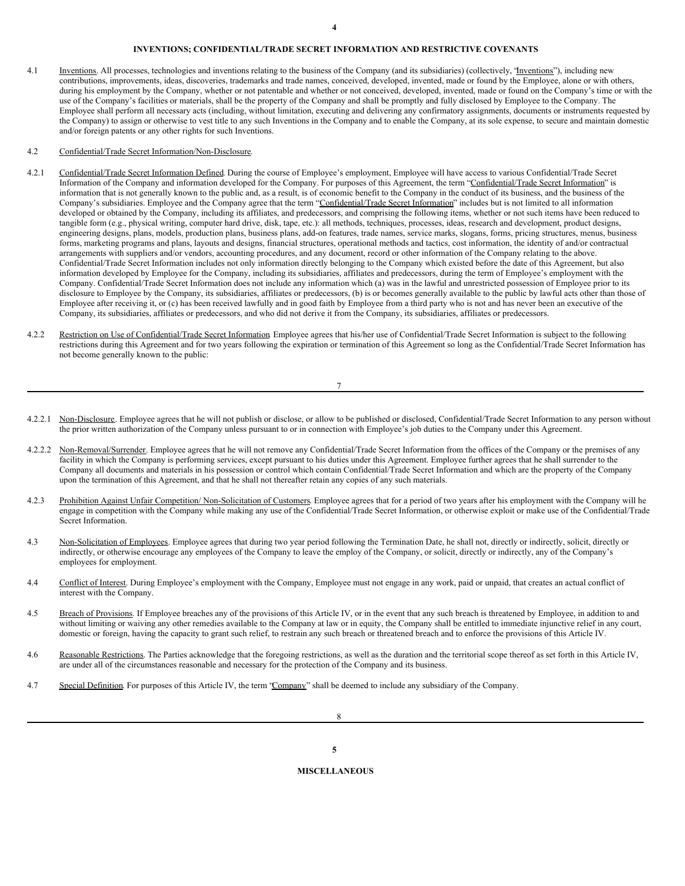## <span id="page-5-0"></span>**INVENTIONS; CONFIDENTIAL/TRADE SECRET INFORMATION AND RESTRICTIVE COVENANTS**

4.1 Inventions. All processes, technologies and inventions relating to the business of the Company (and its subsidiaries) (collectively, "Inventions"), including new contributions, improvements, ideas, discoveries, trademarks and trade names, conceived, developed, invented, made or found by the Employee, alone or with others, during his employment by the Company, whether or not patentable and whether or not conceived, developed, invented, made or found on the Company's time or with the use of the Company's facilities or materials, shall be the property of the Company and shall be promptly and fully disclosed by Employee to the Company. The Employee shall perform all necessary acts (including, without limitation, executing and delivering any confirmatory assignments, documents or instruments requested by the Company) to assign or otherwise to vest title to any such Inventions in the Company and to enable the Company, at its sole expense, to secure and maintain domestic and/or foreign patents or any other rights for such Inventions.

## 4.2 Confidential/Trade Secret Information/Non-Disclosure.

- 4.2.1 Confidential/Trade Secret Information Defined. During the course of Employee's employment, Employee will have access to various Confidential/Trade Secret Information of the Company and information developed for the Company. For purposes of this Agreement, the term "Confidential/Trade Secret Information" is information that is not generally known to the public and, as a result, is of economic benefit to the Company in the conduct of its business, and the business of the Company's subsidiaries. Employee and the Company agree that the term "Confidential/Trade Secret Information" includes but is not limited to all information developed or obtained by the Company, including its affiliates, and predecessors, and comprising the following items, whether or not such items have been reduced to tangible form (e.g., physical writing, computer hard drive, disk, tape, etc.): all methods, techniques, processes, ideas, research and development, product designs, engineering designs, plans, models, production plans, business plans, add-on features, trade names, service marks, slogans, forms, pricing structures, menus, business forms, marketing programs and plans, layouts and designs, financial structures, operational methods and tactics, cost information, the identity of and/or contractual arrangements with suppliers and/or vendors, accounting procedures, and any document, record or other information of the Company relating to the above. Confidential/Trade Secret Information includes not only information directly belonging to the Company which existed before the date of this Agreement, but also information developed by Employee for the Company, including its subsidiaries, affiliates and predecessors, during the term of Employee's employment with the Company. Confidential/Trade Secret Information does not include any information which (a) was in the lawful and unrestricted possession of Employee prior to its disclosure to Employee by the Company, its subsidiaries, affiliates or predecessors, (b) is or becomes generally available to the public by lawful acts other than those of Employee after receiving it, or (c) has been received lawfully and in good faith by Employee from a third party who is not and has never been an executive of the Company, its subsidiaries, affiliates or predecessors, and who did not derive it from the Company, its subsidiaries, affiliates or predecessors.
- 4.2.2 Restriction on Use of Confidential/Trade Secret Information. Employee agrees that his/her use of Confidential/Trade Secret Information is subject to the following restrictions during this Agreement and for two years following the expiration or termination of this Agreement so long as the Confidential/Trade Secret Information has not become generally known to the public:

- 4.2.2.1 Non-Disclosure. Employee agrees that he will not publish or disclose, or allow to be published or disclosed, Confidential/Trade Secret Information to any person without the prior written authorization of the Company unless pursuant to or in connection with Employee's job duties to the Company under this Agreement.
- 4.2.2.2 Non-Removal/Surrender. Employee agrees that he will not remove any Confidential/Trade Secret Information from the offices of the Company or the premises of any facility in which the Company is performing services, except pursuant to his duties under this Agreement. Employee further agrees that he shall surrender to the Company all documents and materials in his possession or control which contain Confidential/Trade Secret Information and which are the property of the Company upon the termination of this Agreement, and that he shall not thereafter retain any copies of any such materials.
- 4.2.3 Prohibition Against Unfair Competition/ Non-Solicitation of Customers. Employee agrees that for a period of two years after his employment with the Company will he engage in competition with the Company while making any use of the Confidential/Trade Secret Information, or otherwise exploit or make use of the Confidential/Trade Secret Information.
- 4.3 Non-Solicitation of Employees. Employee agrees that during two year period following the Termination Date, he shall not, directly or indirectly, solicit, directly or indirectly, or otherwise encourage any employees of the Company to leave the employ of the Company, or solicit, directly or indirectly, any of the Company's employees for employment.
- 4.4 Conflict of Interest. During Employee's employment with the Company, Employee must not engage in any work, paid or unpaid, that creates an actual conflict of interest with the Company.
- 4.5 Breach of Provisions. If Employee breaches any of the provisions of this Article IV, or in the event that any such breach is threatened by Employee, in addition to and without limiting or waiving any other remedies available to the Company at law or in equity, the Company shall be entitled to immediate injunctive relief in any court, domestic or foreign, having the capacity to grant such relief, to restrain any such breach or threatened breach and to enforce the provisions of this Article IV.
- 4.6 Reasonable Restrictions. The Parties acknowledge that the foregoing restrictions, as well as the duration and the territorial scope thereof as set forth in this Article IV, are under all of the circumstances reasonable and necessary for the protection of the Company and its business.
- 4.7 Special Definition. For purposes of this Article IV, the term "Company" shall be deemed to include any subsidiary of the Company.

## **MISCELLANEOUS**

**5**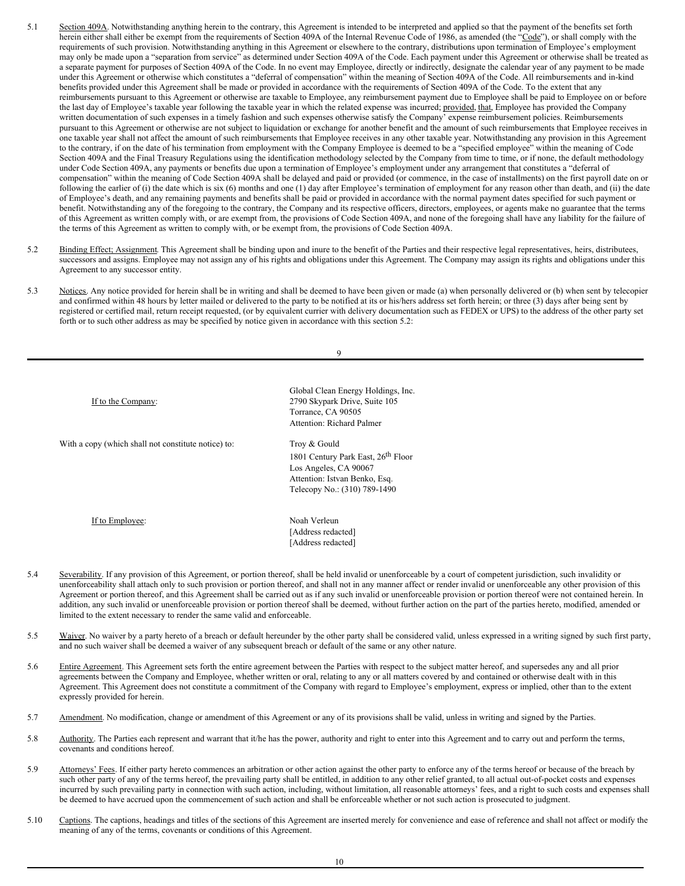- 5.1 Section 409A. Notwithstanding anything herein to the contrary, this Agreement is intended to be interpreted and applied so that the payment of the benefits set forth herein either shall either be exempt from the requirements of Section 409A of the Internal Revenue Code of 1986, as amended (the "Code"), or shall comply with the requirements of such provision. Notwithstanding anything in this Agreement or elsewhere to the contrary, distributions upon termination of Employee's employment may only be made upon a "separation from service" as determined under Section 409A of the Code. Each payment under this Agreement or otherwise shall be treated as a separate payment for purposes of Section 409A of the Code. In no event may Employee, directly or indirectly, designate the calendar year of any payment to be made under this Agreement or otherwise which constitutes a "deferral of compensation" within the meaning of Section 409A of the Code. All reimbursements and in-kind benefits provided under this Agreement shall be made or provided in accordance with the requirements of Section 409A of the Code. To the extent that any reimbursements pursuant to this Agreement or otherwise are taxable to Employee, any reimbursement payment due to Employee shall be paid to Employee on or before the last day of Employee's taxable year following the taxable year in which the related expense was incurred; provided, that, Employee has provided the Company written documentation of such expenses in a timely fashion and such expenses otherwise satisfy the Company' expense reimbursement policies. Reimbursements pursuant to this Agreement or otherwise are not subject to liquidation or exchange for another benefit and the amount of such reimbursements that Employee receives in one taxable year shall not affect the amount of such reimbursements that Employee receives in any other taxable year. Notwithstanding any provision in this Agreement to the contrary, if on the date of his termination from employment with the Company Employee is deemed to be a "specified employee" within the meaning of Code Section 409A and the Final Treasury Regulations using the identification methodology selected by the Company from time to time, or if none, the default methodology under Code Section 409A, any payments or benefits due upon a termination of Employee's employment under any arrangement that constitutes a "deferral of compensation" within the meaning of Code Section 409A shall be delayed and paid or provided (or commence, in the case of installments) on the first payroll date on or following the earlier of (i) the date which is six (6) months and one (1) day after Employee's termination of employment for any reason other than death, and (ii) the date of Employee's death, and any remaining payments and benefits shall be paid or provided in accordance with the normal payment dates specified for such payment or benefit. Notwithstanding any of the foregoing to the contrary, the Company and its respective officers, directors, employees, or agents make no guarantee that the terms of this Agreement as written comply with, or are exempt from, the provisions of Code Section 409A, and none of the foregoing shall have any liability for the failure of the terms of this Agreement as written to comply with, or be exempt from, the provisions of Code Section 409A.
- 5.2 Binding Effect; Assignment. This Agreement shall be binding upon and inure to the benefit of the Parties and their respective legal representatives, heirs, distributees, successors and assigns. Employee may not assign any of his rights and obligations under this Agreement. The Company may assign its rights and obligations under this Agreement to any successor entity.
- 5.3 Notices. Any notice provided for herein shall be in writing and shall be deemed to have been given or made (a) when personally delivered or (b) when sent by telecopier and confirmed within 48 hours by letter mailed or delivered to the party to be notified at its or his/hers address set forth herein; or three (3) days after being sent by registered or certified mail, return receipt requested, (or by equivalent currier with delivery documentation such as FEDEX or UPS) to the address of the other party set forth or to such other address as may be specified by notice given in accordance with this section 5.2:

9

| If to the Company:                                  | Global Clean Energy Holdings, Inc.<br>2790 Skypark Drive, Suite 105<br>Torrance, CA 90505<br><b>Attention: Richard Palmer</b>                            |  |
|-----------------------------------------------------|----------------------------------------------------------------------------------------------------------------------------------------------------------|--|
| With a copy (which shall not constitute notice) to: | Troy & Gould<br>1801 Century Park East, 26 <sup>th</sup> Floor<br>Los Angeles, CA 90067<br>Attention: Istvan Benko, Esq.<br>Telecopy No.: (310) 789-1490 |  |
| If to Employee:                                     | Noah Verleun<br>[Address redacted]<br>[Address redacted]                                                                                                 |  |

- 5.4 Severability. If any provision of this Agreement, or portion thereof, shall be held invalid or unenforceable by a court of competent jurisdiction, such invalidity or unenforceability shall attach only to such provision or portion thereof, and shall not in any manner affect or render invalid or unenforceable any other provision of this Agreement or portion thereof, and this Agreement shall be carried out as if any such invalid or unenforceable provision or portion thereof were not contained herein. In addition, any such invalid or unenforceable provision or portion thereof shall be deemed, without further action on the part of the parties hereto, modified, amended or limited to the extent necessary to render the same valid and enforceable.
- 5.5 Waiver. No waiver by a party hereto of a breach or default hereunder by the other party shall be considered valid, unless expressed in a writing signed by such first party, and no such waiver shall be deemed a waiver of any subsequent breach or default of the same or any other nature.
- 5.6 Entire Agreement. This Agreement sets forth the entire agreement between the Parties with respect to the subject matter hereof, and supersedes any and all prior agreements between the Company and Employee, whether written or oral, relating to any or all matters covered by and contained or otherwise dealt with in this Agreement. This Agreement does not constitute a commitment of the Company with regard to Employee's employment, express or implied, other than to the extent expressly provided for herein.
- 5.7 Amendment. No modification, change or amendment of this Agreement or any of its provisions shall be valid, unless in writing and signed by the Parties.
- 5.8 Authority. The Parties each represent and warrant that it/he has the power, authority and right to enter into this Agreement and to carry out and perform the terms, covenants and conditions hereof.
- 5.9 Attorneys' Fees. If either party hereto commences an arbitration or other action against the other party to enforce any of the terms hereof or because of the breach by such other party of any of the terms hereof, the prevailing party shall be entitled, in addition to any other relief granted, to all actual out-of-pocket costs and expenses incurred by such prevailing party in connection with such action, including, without limitation, all reasonable attorneys' fees, and a right to such costs and expenses shall be deemed to have accrued upon the commencement of such action and shall be enforceable whether or not such action is prosecuted to judgment.
- 5.10 Captions. The captions, headings and titles of the sections of this Agreement are inserted merely for convenience and ease of reference and shall not affect or modify the meaning of any of the terms, covenants or conditions of this Agreement.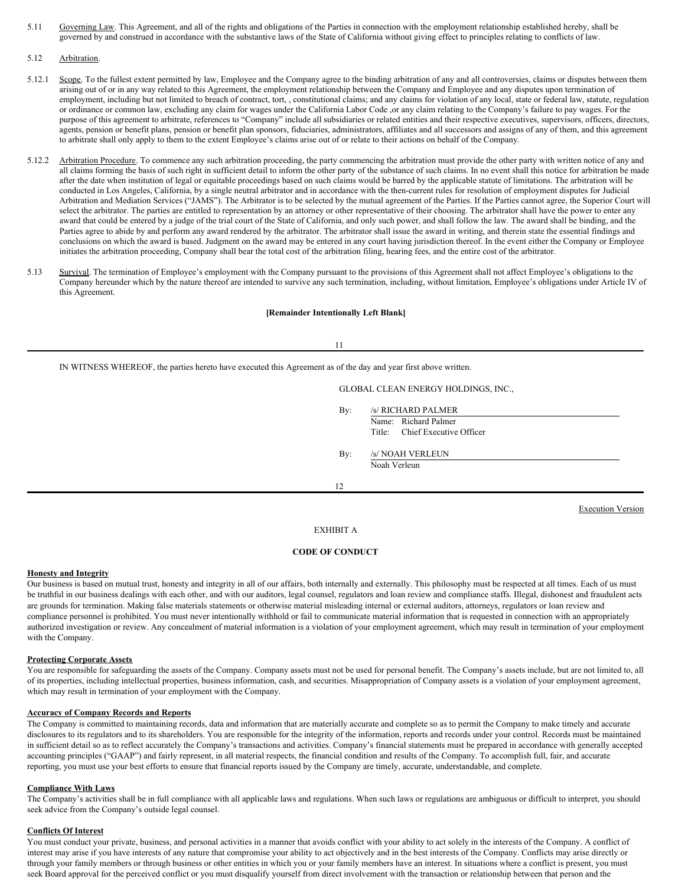- 5.11 Governing Law. This Agreement, and all of the rights and obligations of the Parties in connection with the employment relationship established hereby, shall be governed by and construed in accordance with the substantive laws of the State of California without giving effect to principles relating to conflicts of law.
- 5.12 Arbitration.
- 5.12.1 Scope. To the fullest extent permitted by law, Employee and the Company agree to the binding arbitration of any and all controversies, claims or disputes between them arising out of or in any way related to this Agreement, the employment relationship between the Company and Employee and any disputes upon termination of employment, including but not limited to breach of contract, tort, , constitutional claims; and any claims for violation of any local, state or federal law, statute, regulation or ordinance or common law, excluding any claim for wages under the California Labor Code ,or any claim relating to the Company's failure to pay wages. For the purpose of this agreement to arbitrate, references to "Company" include all subsidiaries or related entities and their respective executives, supervisors, officers, directors, agents, pension or benefit plans, pension or benefit plan sponsors, fiduciaries, administrators, affiliates and all successors and assigns of any of them, and this agreement to arbitrate shall only apply to them to the extent Employee's claims arise out of or relate to their actions on behalf of the Company.
- 5.12.2 Arbitration Procedure. To commence any such arbitration proceeding, the party commencing the arbitration must provide the other party with written notice of any and all claims forming the basis of such right in sufficient detail to inform the other party of the substance of such claims. In no event shall this notice for arbitration be made after the date when institution of legal or equitable proceedings based on such claims would be barred by the applicable statute of limitations. The arbitration will be conducted in Los Angeles, California, by a single neutral arbitrator and in accordance with the then-current rules for resolution of employment disputes for Judicial Arbitration and Mediation Services ("JAMS"). The Arbitrator is to be selected by the mutual agreement of the Parties. If the Parties cannot agree, the Superior Court will select the arbitrator. The parties are entitled to representation by an attorney or other representative of their choosing. The arbitrator shall have the power to enter any award that could be entered by a judge of the trial court of the State of California, and only such power, and shall follow the law. The award shall be binding, and the Parties agree to abide by and perform any award rendered by the arbitrator. The arbitrator shall issue the award in writing, and therein state the essential findings and conclusions on which the award is based. Judgment on the award may be entered in any court having jurisdiction thereof. In the event either the Company or Employee initiates the arbitration proceeding, Company shall bear the total cost of the arbitration filing, hearing fees, and the entire cost of the arbitrator.
- 5.13 Survival. The termination of Employee's employment with the Company pursuant to the provisions of this Agreement shall not affect Employee's obligations to the Company hereunder which by the nature thereof are intended to survive any such termination, including, without limitation, Employee's obligations under Article IV of this Agreement.

## **[Remainder Intentionally Left Blank]**

11

IN WITNESS WHEREOF, the parties hereto have executed this Agreement as of the day and year first above written.

GLOBAL CLEAN ENERGY HOLDINGS, INC.,

By: /s/ RICHARD PALMER

Name: Richard Palmer Title: Chief Executive Officer

By: /s/ NOAH VERLEUN Noah Verleun

12

Execution Version

## EXHIBIT A

## **CODE OF CONDUCT**

## **Honesty and Integrity**

Our business is based on mutual trust, honesty and integrity in all of our affairs, both internally and externally. This philosophy must be respected at all times. Each of us must be truthful in our business dealings with each other, and with our auditors, legal counsel, regulators and loan review and compliance staffs. Illegal, dishonest and fraudulent acts are grounds for termination. Making false materials statements or otherwise material misleading internal or external auditors, attorneys, regulators or loan review and compliance personnel is prohibited. You must never intentionally withhold or fail to communicate material information that is requested in connection with an appropriately authorized investigation or review. Any concealment of material information is a violation of your employment agreement, which may result in termination of your employment with the Company.

## **Protecting Corporate Assets**

You are responsible for safeguarding the assets of the Company. Company assets must not be used for personal benefit. The Company's assets include, but are not limited to, all of its properties, including intellectual properties, business information, cash, and securities. Misappropriation of Company assets is a violation of your employment agreement, which may result in termination of your employment with the Company.

#### **Accuracy of Company Records and Reports**

The Company is committed to maintaining records, data and information that are materially accurate and complete so as to permit the Company to make timely and accurate disclosures to its regulators and to its shareholders. You are responsible for the integrity of the information, reports and records under your control. Records must be maintained in sufficient detail so as to reflect accurately the Company's transactions and activities. Company's financial statements must be prepared in accordance with generally accepted accounting principles ("GAAP") and fairly represent, in all material respects, the financial condition and results of the Company. To accomplish full, fair, and accurate reporting, you must use your best efforts to ensure that financial reports issued by the Company are timely, accurate, understandable, and complete.

## **Compliance With Laws**

The Company's activities shall be in full compliance with all applicable laws and regulations. When such laws or regulations are ambiguous or difficult to interpret, you should seek advice from the Company's outside legal counsel.

## **Conflicts Of Interest**

You must conduct your private, business, and personal activities in a manner that avoids conflict with your ability to act solely in the interests of the Company. A conflict of interest may arise if you have interests of any nature that compromise your ability to act objectively and in the best interests of the Company. Conflicts may arise directly or through your family members or through business or other entities in which you or your family members have an interest. In situations where a conflict is present, you must seek Board approval for the perceived conflict or you must disqualify yourself from direct involvement with the transaction or relationship between that person and the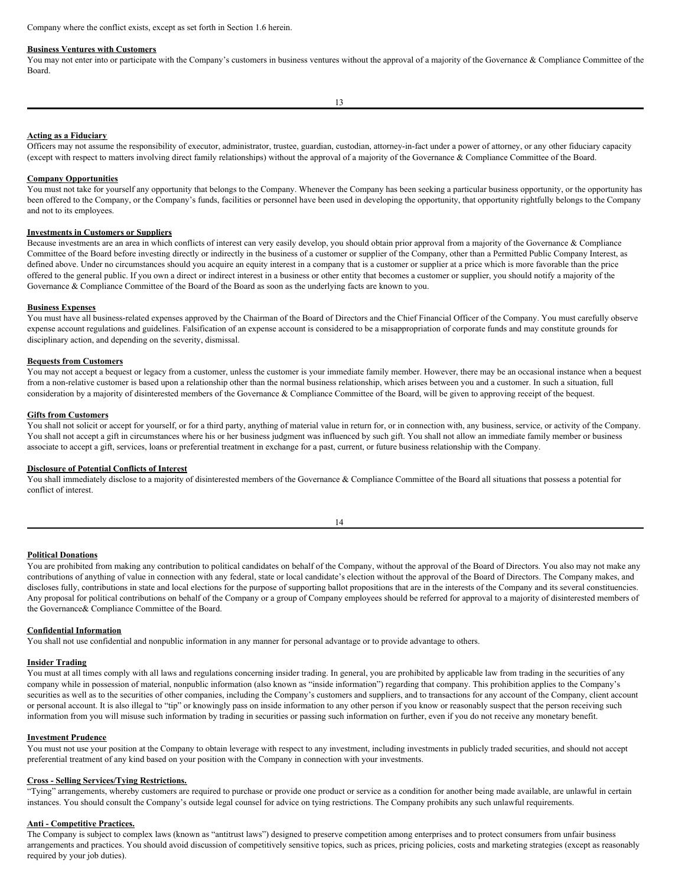Company where the conflict exists, except as set forth in Section 1.6 herein.

#### **Business Ventures with Customers**

You may not enter into or participate with the Company's customers in business ventures without the approval of a majority of the Governance & Compliance Committee of the Board.

#### **Acting as a Fiduciary**

Officers may not assume the responsibility of executor, administrator, trustee, guardian, custodian, attorney-in-fact under a power of attorney, or any other fiduciary capacity (except with respect to matters involving direct family relationships) without the approval of a majority of the Governance & Compliance Committee of the Board.

#### **Company Opportunities**

You must not take for yourself any opportunity that belongs to the Company. Whenever the Company has been seeking a particular business opportunity, or the opportunity has been offered to the Company, or the Company's funds, facilities or personnel have been used in developing the opportunity, that opportunity rightfully belongs to the Company and not to its employees.

#### **Investments in Customers or Suppliers**

Because investments are an area in which conflicts of interest can very easily develop, you should obtain prior approval from a majority of the Governance & Compliance Committee of the Board before investing directly or indirectly in the business of a customer or supplier of the Company, other than a Permitted Public Company Interest, as defined above. Under no circumstances should you acquire an equity interest in a company that is a customer or supplier at a price which is more favorable than the price offered to the general public. If you own a direct or indirect interest in a business or other entity that becomes a customer or supplier, you should notify a majority of the Governance & Compliance Committee of the Board of the Board as soon as the underlying facts are known to you.

#### **Business Expenses**

You must have all business-related expenses approved by the Chairman of the Board of Directors and the Chief Financial Officer of the Company. You must carefully observe expense account regulations and guidelines. Falsification of an expense account is considered to be a misappropriation of corporate funds and may constitute grounds for disciplinary action, and depending on the severity, dismissal.

#### **Bequests from Customers**

You may not accept a bequest or legacy from a customer, unless the customer is your immediate family member. However, there may be an occasional instance when a bequest from a non-relative customer is based upon a relationship other than the normal business relationship, which arises between you and a customer. In such a situation, full consideration by a majority of disinterested members of the Governance & Compliance Committee of the Board, will be given to approving receipt of the bequest.

#### **Gifts from Customers**

You shall not solicit or accept for yourself, or for a third party, anything of material value in return for, or in connection with, any business, service, or activity of the Company. You shall not accept a gift in circumstances where his or her business judgment was influenced by such gift. You shall not allow an immediate family member or business associate to accept a gift, services, loans or preferential treatment in exchange for a past, current, or future business relationship with the Company.

#### **Disclosure of Potential Conflicts of Interest**

You shall immediately disclose to a majority of disinterested members of the Governance & Compliance Committee of the Board all situations that possess a potential for conflict of interest.

## **Political Donations**

You are prohibited from making any contribution to political candidates on behalf of the Company, without the approval of the Board of Directors. You also may not make any contributions of anything of value in connection with any federal, state or local candidate's election without the approval of the Board of Directors. The Company makes, and discloses fully, contributions in state and local elections for the purpose of supporting ballot propositions that are in the interests of the Company and its several constituencies. Any proposal for political contributions on behalf of the Company or a group of Company employees should be referred for approval to a majority of disinterested members of the Governance& Compliance Committee of the Board.

## **Confidential Information**

You shall not use confidential and nonpublic information in any manner for personal advantage or to provide advantage to others.

## **Insider Trading**

You must at all times comply with all laws and regulations concerning insider trading. In general, you are prohibited by applicable law from trading in the securities of any company while in possession of material, nonpublic information (also known as "inside information") regarding that company. This prohibition applies to the Company's securities as well as to the securities of other companies, including the Company's customers and suppliers, and to transactions for any account of the Company, client account or personal account. It is also illegal to "tip" or knowingly pass on inside information to any other person if you know or reasonably suspect that the person receiving such information from you will misuse such information by trading in securities or passing such information on further, even if you do not receive any monetary benefit.

#### **Investment Prudence**

You must not use your position at the Company to obtain leverage with respect to any investment, including investments in publicly traded securities, and should not accept preferential treatment of any kind based on your position with the Company in connection with your investments.

#### **Cross - Selling Services/Tying Restrictions.**

"Tying" arrangements, whereby customers are required to purchase or provide one product or service as a condition for another being made available, are unlawful in certain instances. You should consult the Company's outside legal counsel for advice on tying restrictions. The Company prohibits any such unlawful requirements.

#### **Anti - Competitive Practices.**

The Company is subject to complex laws (known as "antitrust laws") designed to preserve competition among enterprises and to protect consumers from unfair business arrangements and practices. You should avoid discussion of competitively sensitive topics, such as prices, pricing policies, costs and marketing strategies (except as reasonably required by your job duties).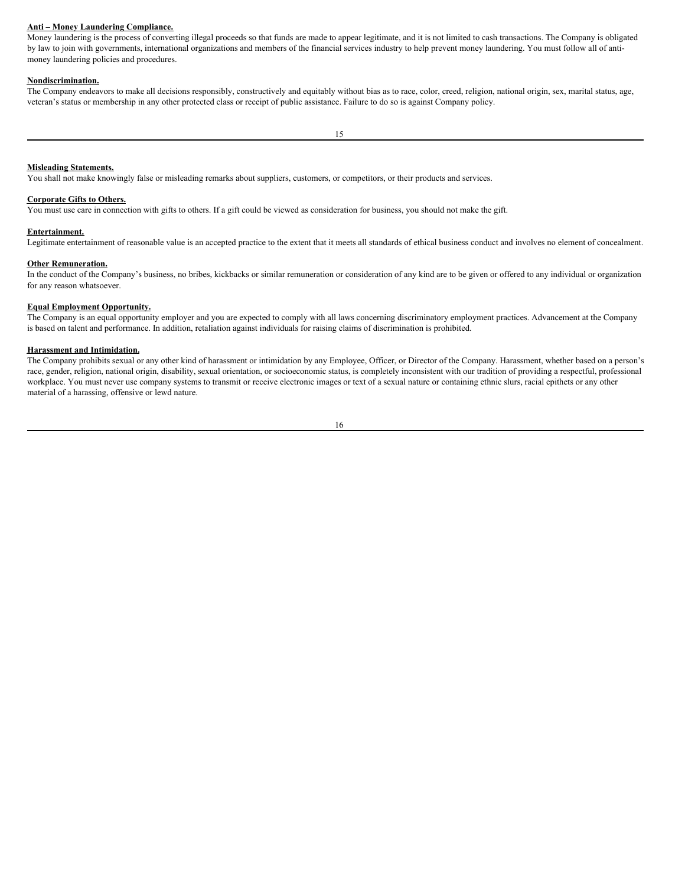## **Anti – Money Laundering Compliance.**

Money laundering is the process of converting illegal proceeds so that funds are made to appear legitimate, and it is not limited to cash transactions. The Company is obligated by law to join with governments, international organizations and members of the financial services industry to help prevent money laundering. You must follow all of antimoney laundering policies and procedures.

#### **Nondiscrimination.**

The Company endeavors to make all decisions responsibly, constructively and equitably without bias as to race, color, creed, religion, national origin, sex, marital status, age, veteran's status or membership in any other protected class or receipt of public assistance. Failure to do so is against Company policy.

## **Misleading Statements.**

You shall not make knowingly false or misleading remarks about suppliers, customers, or competitors, or their products and services.

#### **Corporate Gifts to Others.**

You must use care in connection with gifts to others. If a gift could be viewed as consideration for business, you should not make the gift.

#### **Entertainment.**

Legitimate entertainment of reasonable value is an accepted practice to the extent that it meets all standards of ethical business conduct and involves no element of concealment.

## **Other Remuneration.**

In the conduct of the Company's business, no bribes, kickbacks or similar remuneration or consideration of any kind are to be given or offered to any individual or organization for any reason whatsoever.

## **Equal Employment Opportunity.**

The Company is an equal opportunity employer and you are expected to comply with all laws concerning discriminatory employment practices. Advancement at the Company is based on talent and performance. In addition, retaliation against individuals for raising claims of discrimination is prohibited.

#### **Harassment and Intimidation.**

The Company prohibits sexual or any other kind of harassment or intimidation by any Employee, Officer, or Director of the Company. Harassment, whether based on a person's race, gender, religion, national origin, disability, sexual orientation, or socioeconomic status, is completely inconsistent with our tradition of providing a respectful, professional workplace. You must never use company systems to transmit or receive electronic images or text of a sexual nature or containing ethnic slurs, racial epithets or any other material of a harassing, offensive or lewd nature.

| ×<br>×<br>۰. |
|--------------|